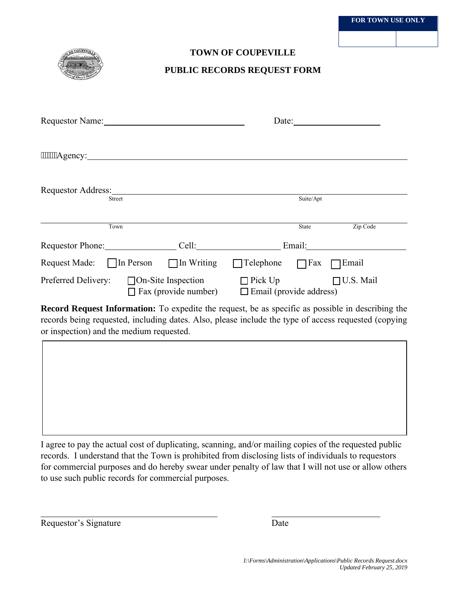

## **TOWN OF COUPEVILLE**

## **PUBLIC RECORDS REQUEST FORM**

| Requestor Name: 1988                                                                                                                                                                                                                           |                                                          | Date:                                            |              |                  |
|------------------------------------------------------------------------------------------------------------------------------------------------------------------------------------------------------------------------------------------------|----------------------------------------------------------|--------------------------------------------------|--------------|------------------|
|                                                                                                                                                                                                                                                |                                                          |                                                  |              |                  |
| Requestor Address: No. 1996. The Second Second Second Second Second Second Second Second Second Second Second Second Second Second Second Second Second Second Second Second Second Second Second Second Second Second Second<br><b>Street</b> |                                                          |                                                  | Suite/Apt    |                  |
| Town                                                                                                                                                                                                                                           |                                                          |                                                  | <b>State</b> | Zip Code         |
| Requestor Phone:                                                                                                                                                                                                                               | Cell:                                                    |                                                  | Email:       |                  |
| Request Made: $\Box$ In Person $\Box$ In Writing                                                                                                                                                                                               |                                                          | $\Box$ Telephone                                 | $\Box$ Fax   | Email            |
| Preferred Delivery:                                                                                                                                                                                                                            | $\Box$ On-Site Inspection<br>$\Box$ Fax (provide number) | $\Box$ Pick Up<br>$\Box$ Email (provide address) |              | $\Box$ U.S. Mail |

**Record Request Information:** To expedite the request, be as specific as possible in describing the records being requested, including dates. Also, please include the type of access requested (copying or inspection) and the medium requested.

I agree to pay the actual cost of duplicating, scanning, and/or mailing copies of the requested public records. I understand that the Town is prohibited from disclosing lists of individuals to requestors for commercial purposes and do hereby swear under penalty of law that I will not use or allow others to use such public records for commercial purposes.

Requestor's Signature Date

 $\overline{a}$